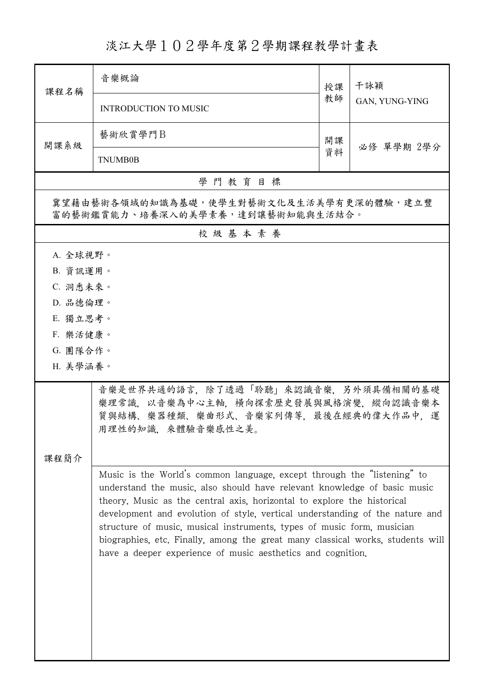## 淡江大學102學年度第2學期課程教學計畫表

| 課程名稱                                                                        | 音樂概論                                                                                                                                                                                                                                                                                                                                                                                                                                                                                                                                      | 授課 | 干詠穎            |  |  |
|-----------------------------------------------------------------------------|-------------------------------------------------------------------------------------------------------------------------------------------------------------------------------------------------------------------------------------------------------------------------------------------------------------------------------------------------------------------------------------------------------------------------------------------------------------------------------------------------------------------------------------------|----|----------------|--|--|
|                                                                             | <b>INTRODUCTION TO MUSIC</b>                                                                                                                                                                                                                                                                                                                                                                                                                                                                                                              |    | GAN, YUNG-YING |  |  |
| 開課系級                                                                        | 藝術欣賞學門B                                                                                                                                                                                                                                                                                                                                                                                                                                                                                                                                   | 開課 |                |  |  |
|                                                                             | <b>TNUMB0B</b>                                                                                                                                                                                                                                                                                                                                                                                                                                                                                                                            |    | 必修 單學期 2學分     |  |  |
| 學門教育目標                                                                      |                                                                                                                                                                                                                                                                                                                                                                                                                                                                                                                                           |    |                |  |  |
| 冀望藉由藝術各領域的知識為基礎,使學生對藝術文化及生活美學有更深的體驗,建立豐<br>富的藝術鑑賞能力、培養深入的美學素養,達到讓藝術知能與生活結合。 |                                                                                                                                                                                                                                                                                                                                                                                                                                                                                                                                           |    |                |  |  |
| 校級基本素養                                                                      |                                                                                                                                                                                                                                                                                                                                                                                                                                                                                                                                           |    |                |  |  |
| A. 全球視野。                                                                    |                                                                                                                                                                                                                                                                                                                                                                                                                                                                                                                                           |    |                |  |  |
| B. 資訊運用。                                                                    |                                                                                                                                                                                                                                                                                                                                                                                                                                                                                                                                           |    |                |  |  |
| C. 洞悉未來。                                                                    |                                                                                                                                                                                                                                                                                                                                                                                                                                                                                                                                           |    |                |  |  |
| D. 品德倫理。                                                                    |                                                                                                                                                                                                                                                                                                                                                                                                                                                                                                                                           |    |                |  |  |
| E. 獨立思考。                                                                    |                                                                                                                                                                                                                                                                                                                                                                                                                                                                                                                                           |    |                |  |  |
| F. 樂活健康。                                                                    |                                                                                                                                                                                                                                                                                                                                                                                                                                                                                                                                           |    |                |  |  |
| G. 團隊合作。                                                                    |                                                                                                                                                                                                                                                                                                                                                                                                                                                                                                                                           |    |                |  |  |
| H. 美學涵養。                                                                    |                                                                                                                                                                                                                                                                                                                                                                                                                                                                                                                                           |    |                |  |  |
|                                                                             | 音樂是世界共通的語言,除了透過「聆聽」來認識音樂,另外須具備相關的基礎<br>樂理常識,以音樂為中心主軸,橫向探索歷史發展與風格演變,縱向認識音樂本<br>質與結構、樂器種類、樂曲形式、音樂家列傳等,最後在經典的偉大作品中,運<br>用理性的知識,來體驗音樂感性之美。                                                                                                                                                                                                                                                                                                                                                                                                    |    |                |  |  |
| 課程簡介                                                                        |                                                                                                                                                                                                                                                                                                                                                                                                                                                                                                                                           |    |                |  |  |
|                                                                             | Music is the World's common language, except through the "listening" to<br>understand the music, also should have relevant knowledge of basic music<br>theory. Music as the central axis, horizontal to explore the historical<br>development and evolution of style, vertical understanding of the nature and<br>structure of music, musical instruments, types of music form, musician<br>biographies, etc. Finally, among the great many classical works, students will<br>have a deeper experience of music aesthetics and cognition. |    |                |  |  |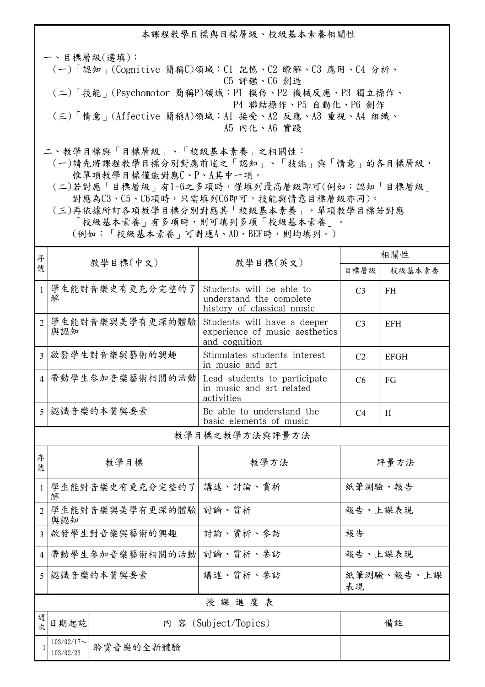本課程教學目標與目標層級、校級基本素養相關性

一、目標層級(選填): (一)「認知」(Cognitive 簡稱C)領域:C1 記憶、C2 瞭解、C3 應用、C4 分析、 C5 評鑑、C6 創造 (二)「技能」(Psychomotor 簡稱P)領域:P1 模仿、P2 機械反應、P3 獨立操作、 P4 聯結操作、P5 自動化、P6 創作 (三)「情意」(Affective 簡稱A)領域:A1 接受、A2 反應、A3 重視、A4 組織、 A5 內化、A6 實踐

二、教學目標與「目標層級」、「校級基本素養」之相關性:

 (一)請先將課程教學目標分別對應前述之「認知」、「技能」與「情意」的各目標層級, 惟單項教學目標僅能對應C、P、A其中一項。

 (二)若對應「目標層級」有1~6之多項時,僅填列最高層級即可(例如:認知「目標層級」 對應為C3、C5、C6項時,只需填列C6即可,技能與情意目標層級亦同)。

 (三)再依據所訂各項教學目標分別對應其「校級基本素養」。單項教學目標若對應 「校級基本素養」有多項時,則可填列多項「校級基本素養」。 (例如:「校級基本素養」可對應A、AD、BEF時,則均填列。)

| 序              |                            |                       | 相關性                                                                               |                  |             |  |
|----------------|----------------------------|-----------------------|-----------------------------------------------------------------------------------|------------------|-------------|--|
| 號              |                            | 教學目標(中文)              | 教學目標(英文)                                                                          | 目標層級             | 校級基本素養      |  |
| $\mathbf{1}$   | 解                          | 學生能對音樂史有更充分完整的了       | Students will be able to<br>understand the complete<br>history of classical music | C <sub>3</sub>   | <b>FH</b>   |  |
| $\overline{2}$ | 與認知                        | 學生能對音樂與美學有更深的體驗       | Students will have a deeper<br>experience of music aesthetics<br>and cognition    | C <sub>3</sub>   | <b>EFH</b>  |  |
| 3              |                            | 啟發學生對音樂與藝術的興趣         | Stimulates students interest<br>in music and art                                  | C <sub>2</sub>   | <b>EFGH</b> |  |
| $\overline{4}$ |                            | 帶動學生參加音樂藝術相關的活動       | Lead students to participate<br>in music and art related<br>activities            | C <sub>6</sub>   | FG          |  |
| 5              | 認識音樂的本質與要素                 |                       | Be able to understand the<br>basic elements of music                              | C <sub>4</sub>   | H           |  |
| 教學目標之教學方法與評量方法 |                            |                       |                                                                                   |                  |             |  |
| 序<br>號         | 教學目標                       |                       | 教學方法                                                                              | 評量方法             |             |  |
| $\mathbf{1}$   | 解                          | 學生能對音樂史有更充分完整的了       | 講述、討論、賞析                                                                          | 紙筆測驗、報告          |             |  |
| $\overline{2}$ | 與認知                        | 學生能對音樂與美學有更深的體驗 討論、賞析 |                                                                                   | 報告、上課表現          |             |  |
| $\overline{3}$ |                            | 啟發學生對音樂與藝術的興趣         | 討論、賞析、參訪                                                                          | 報告               |             |  |
| $\overline{4}$ |                            | 帶動學生參加音樂藝術相關的活動       | 討論、賞析、參訪                                                                          | 報告、上課表現          |             |  |
| $\overline{5}$ | 認識音樂的本質與要素                 |                       | 講述、賞析、參訪                                                                          | 紙筆測驗、報告、上課<br>表現 |             |  |
|                | 授課進度表                      |                       |                                                                                   |                  |             |  |
| 週<br>欤         | 日期起訖                       |                       | 內 容 (Subject/Topics)                                                              |                  | 備註          |  |
| $\mathbf{1}$   | $103/02/17$ ~<br>103/02/23 | 聆賞音樂的全新體驗             |                                                                                   |                  |             |  |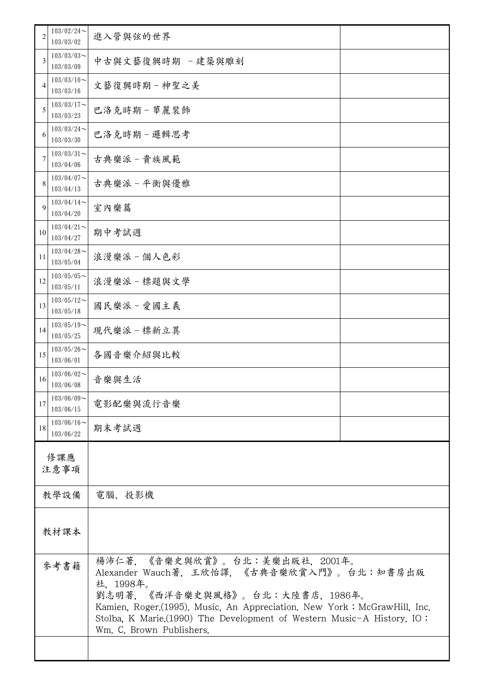| 2           | $103/02/24$ ~<br>103/03/02 | 進入管與弦的世界                                                                                                                                                                                                                                                                                                          |  |  |
|-------------|----------------------------|-------------------------------------------------------------------------------------------------------------------------------------------------------------------------------------------------------------------------------------------------------------------------------------------------------------------|--|--|
| 3           | $103/03/03$ ~<br>103/03/09 | 中古與文藝復興時期 -建築與雕刻                                                                                                                                                                                                                                                                                                  |  |  |
| 4           | $103/03/10$ ~<br>103/03/16 | 文藝復興時期-神聖之美                                                                                                                                                                                                                                                                                                       |  |  |
| 5           | $103/03/17$ ~<br>103/03/23 | 巴洛克時期-華麗裝飾                                                                                                                                                                                                                                                                                                        |  |  |
| 6           | $103/03/24$ ~<br>103/03/30 | 巴洛克時期-邏輯思考                                                                                                                                                                                                                                                                                                        |  |  |
| 7           | $103/03/31$ ~<br>103/04/06 | 古典樂派-貴族風範                                                                                                                                                                                                                                                                                                         |  |  |
| 8           | $103/04/07$ ~<br>103/04/13 | 古典樂派-平衡與優雅                                                                                                                                                                                                                                                                                                        |  |  |
| 9           | $103/04/14$ ~<br>103/04/20 | 室內樂篇                                                                                                                                                                                                                                                                                                              |  |  |
| 10          | $103/04/21$ ~<br>103/04/27 | 期中考試週                                                                                                                                                                                                                                                                                                             |  |  |
| 11          | $103/04/28$ ~<br>103/05/04 | 浪漫樂派-個人色彩                                                                                                                                                                                                                                                                                                         |  |  |
| 12          | $103/05/05$ ~<br>103/05/11 | 浪漫樂派-標題與文學                                                                                                                                                                                                                                                                                                        |  |  |
| 13          | $103/05/12$ ~<br>103/05/18 | 國民樂派一愛國主義                                                                                                                                                                                                                                                                                                         |  |  |
| 14          | $103/05/19$ ~<br>103/05/25 | 現代樂派-標新立異                                                                                                                                                                                                                                                                                                         |  |  |
| 15          | $103/05/26$ ~<br>103/06/01 | 各國音樂介紹與比較                                                                                                                                                                                                                                                                                                         |  |  |
| 16          | $103/06/02$ ~<br>103/06/08 | 音樂與生活                                                                                                                                                                                                                                                                                                             |  |  |
| 17          | $103/06/09$ ~<br>103/06/15 | 電影配樂與流行音樂                                                                                                                                                                                                                                                                                                         |  |  |
| 18          | $103/06/16$ ~<br>103/06/22 | 期末考試週                                                                                                                                                                                                                                                                                                             |  |  |
| 修課應<br>注意事項 |                            |                                                                                                                                                                                                                                                                                                                   |  |  |
| 教學設備        |                            | 電腦、投影機                                                                                                                                                                                                                                                                                                            |  |  |
| 教材課本        |                            |                                                                                                                                                                                                                                                                                                                   |  |  |
| 參考書籍        |                            | 楊沛仁著, 《音樂史與欣賞》。台北:美樂出版社, 2001年。<br>Alexander Wauch著, 王欣怡譯, 《古典音樂欣賞入門》。台北:知書房出版<br>社, 1998年。<br>劉志明著, 《西洋音樂史與風格》。台北:大陸書店, 1986年。<br>Kamien, Roger.(1995). Music, An Appreciation. New York: McGrawHill, Inc.<br>Stolba, K Marie.(1990) The Development of Western Music-A History. IO:<br>Wm. C. Brown Publishers. |  |  |
|             |                            |                                                                                                                                                                                                                                                                                                                   |  |  |